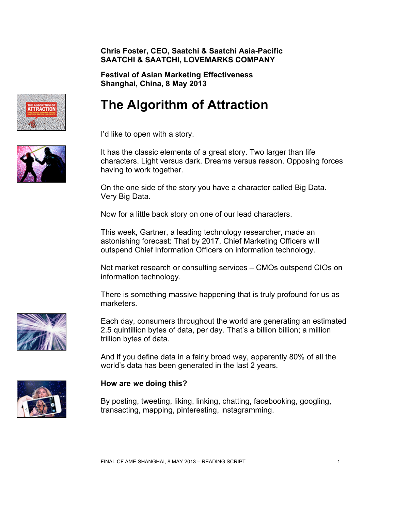#### **Chris Foster, CEO, Saatchi & Saatchi Asia-Pacific SAATCHI & SAATCHI, LOVEMARKS COMPANY**

**Festival of Asian Marketing Effectiveness Shanghai, China, 8 May 2013**

# **The Algorithm of Attraction**

I'd like to open with a story.

It has the classic elements of a great story. Two larger than life characters. Light versus dark. Dreams versus reason. Opposing forces having to work together.

On the one side of the story you have a character called Big Data. Very Big Data.

Now for a little back story on one of our lead characters.

This week, Gartner, a leading technology researcher, made an astonishing forecast: That by 2017, Chief Marketing Officers will outspend Chief Information Officers on information technology.

Not market research or consulting services – CMOs outspend CIOs on information technology.

There is something massive happening that is truly profound for us as marketers.

Each day, consumers throughout the world are generating an estimated 2.5 quintillion bytes of data, per day. That's a billion billion; a million trillion bytes of data.

And if you define data in a fairly broad way, apparently 80% of all the world's data has been generated in the last 2 years.

# **How are** *we* **doing this?**

By posting, tweeting, liking, linking, chatting, facebooking, googling, transacting, mapping, pinteresting, instagramming.





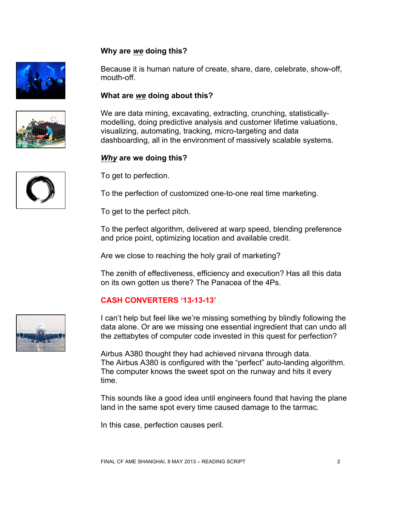#### **Why are** *we* **doing this?**



Because it is human nature of create, share, dare, celebrate, show-off, mouth-off.

#### **What are** *we* **doing about this?**

We are data mining, excavating, extracting, crunching, statisticallymodelling, doing predictive analysis and customer lifetime valuations, visualizing, automating, tracking, micro-targeting and data dashboarding, all in the environment of massively scalable systems.

#### *Why* **are we doing this?**

To get to perfection.

To the perfection of customized one-to-one real time marketing.

To get to the perfect pitch.

To the perfect algorithm, delivered at warp speed, blending preference and price point, optimizing location and available credit.

Are we close to reaching the holy grail of marketing?

The zenith of effectiveness, efficiency and execution? Has all this data on its own gotten us there? The Panacea of the 4Ps.

#### **CASH CONVERTERS '13-13-13'**

I can't help but feel like we're missing something by blindly following the data alone. Or are we missing one essential ingredient that can undo all the zettabytes of computer code invested in this quest for perfection?

Airbus A380 thought they had achieved nirvana through data. The Airbus A380 is configured with the "perfect" auto-landing algorithm. The computer knows the sweet spot on the runway and hits it every time.

This sounds like a good idea until engineers found that having the plane land in the same spot every time caused damage to the tarmac.

In this case, perfection causes peril.





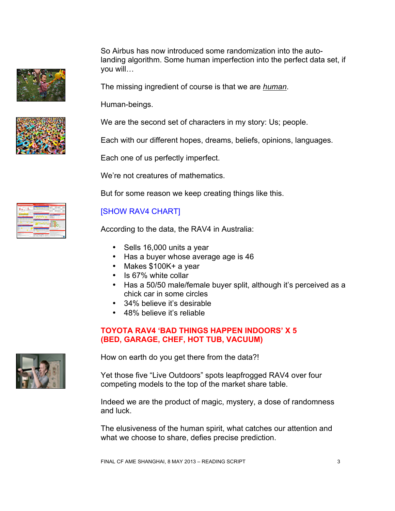So Airbus has now introduced some randomization into the autolanding algorithm. Some human imperfection into the perfect data set, if you will…

The missing ingredient of course is that we are *human*.

Human-beings.

We are the second set of characters in my story: Us; people.

Each with our different hopes, dreams, beliefs, opinions, languages.

Each one of us perfectly imperfect.

We're not creatures of mathematics.

But for some reason we keep creating things like this.

# [SHOW RAV4 CHART]

According to the data, the RAV4 in Australia:

- Sells 16,000 units a year
- Has a buyer whose average age is 46
- Makes \$100K+ a year
- Is 67% white collar
- Has a 50/50 male/female buyer split, although it's perceived as a chick car in some circles
- 34% believe it's desirable
- 48% believe it's reliable

#### **TOYOTA RAV4 'BAD THINGS HAPPEN INDOORS' X 5 (BED, GARAGE, CHEF, HOT TUB, VACUUM)**

How on earth do you get there from the data?!

Yet those five "Live Outdoors" spots leapfrogged RAV4 over four competing models to the top of the market share table.

Indeed we are the product of magic, mystery, a dose of randomness and luck.

The elusiveness of the human spirit, what catches our attention and what we choose to share, defies precise prediction.



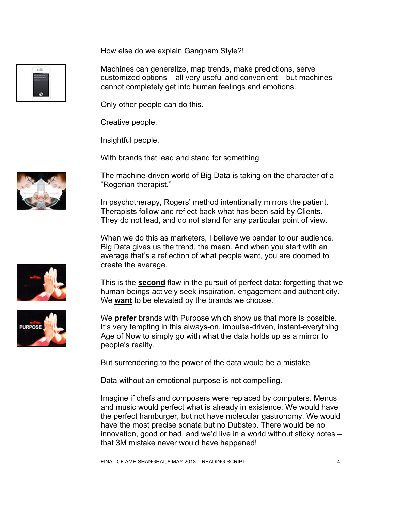How else do we explain Gangnam Style?!

Machines can generalize, map trends, make predictions, serve customized options – all very useful and convenient – but machines cannot completely get into human feelings and emotions.

Only other people can do this.

Creative people.

Insightful people.

With brands that lead and stand for something.

The machine-driven world of Big Data is taking on the character of a "Rogerian therapist."

In psychotherapy, Rogers' method intentionally mirrors the patient. Therapists follow and reflect back what has been said by Clients. They do not lead, and do not stand for any particular point of view.

When we do this as marketers, I believe we pander to our audience. Big Data gives us the trend, the mean. And when you start with an average that's a reflection of what people want, you are doomed to create the average.

This is the **second** flaw in the pursuit of perfect data: forgetting that we human-beings actively seek inspiration, engagement and authenticity. We **want** to be elevated by the brands we choose.

We **prefer** brands with Purpose which show us that more is possible. It's very tempting in this always-on, impulse-driven, instant-everything Age of Now to simply go with what the data holds up as a mirror to people's reality.

But surrendering to the power of the data would be a mistake.

Data without an emotional purpose is not compelling.

Imagine if chefs and composers were replaced by computers. Menus and music would perfect what is already in existence. We would have the perfect hamburger, but not have molecular gastronomy. We would have the most precise sonata but no Dubstep. There would be no innovation, good or bad, and we'd live in a world without sticky notes – that 3M mistake never would have happened!





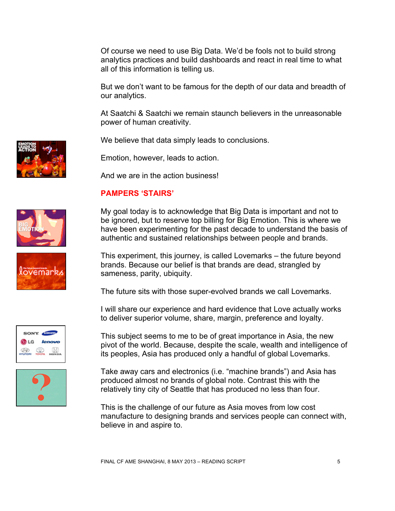Of course we need to use Big Data. We'd be fools not to build strong analytics practices and build dashboards and react in real time to what all of this information is telling us.

But we don't want to be famous for the depth of our data and breadth of our analytics.

At Saatchi & Saatchi we remain staunch believers in the unreasonable power of human creativity.

We believe that data simply leads to conclusions.

Emotion, however, leads to action.

And we are in the action business!

# **PAMPERS 'STAIRS'**

My goal today is to acknowledge that Big Data is important and not to be ignored, but to reserve top billing for Big Emotion. This is where we have been experimenting for the past decade to understand the basis of authentic and sustained relationships between people and brands.

This experiment, this journey, is called Lovemarks – the future beyond brands. Because our belief is that brands are dead, strangled by sameness, parity, ubiquity.

The future sits with those super-evolved brands we call Lovemarks.

I will share our experience and hard evidence that Love actually works to deliver superior volume, share, margin, preference and loyalty.

This subject seems to me to be of great importance in Asia, the new pivot of the world. Because, despite the scale, wealth and intelligence of its peoples, Asia has produced only a handful of global Lovemarks.

Take away cars and electronics (i.e. "machine brands") and Asia has produced almost no brands of global note. Contrast this with the relatively tiny city of Seattle that has produced no less than four.

This is the challenge of our future as Asia moves from low cost manufacture to designing brands and services people can connect with, believe in and aspire to.









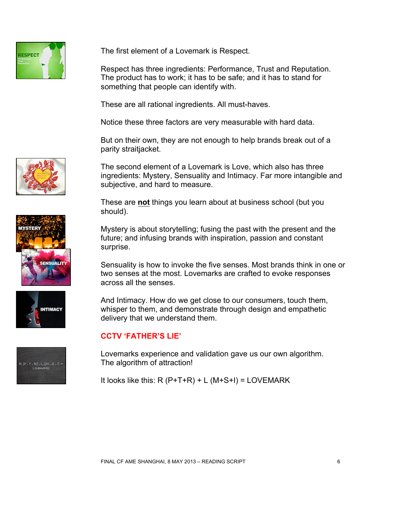

The first element of a Lovemark is Respect.

Respect has three ingredients: Performance, Trust and Reputation. The product has to work; it has to be safe; and it has to stand for something that people can identify with.

These are all rational ingredients. All must-haves.

Notice these three factors are very measurable with hard data.

But on their own, they are not enough to help brands break out of a parity straitjacket.

The second element of a Lovemark is Love, which also has three ingredients: Mystery, Sensuality and Intimacy. Far more intangible and subjective, and hard to measure.

These are **not** things you learn about at business school (but you should).

Mystery is about storytelling; fusing the past with the present and the future; and infusing brands with inspiration, passion and constant surprise.

Sensuality is how to invoke the five senses. Most brands think in one or two senses at the most. Lovemarks are crafted to evoke responses across all the senses.

And Intimacy. How do we get close to our consumers, touch them, whisper to them, and demonstrate through design and empathetic delivery that we understand them.

# **CCTV 'FATHER'S LIE'**

Lovemarks experience and validation gave us our own algorithm. The algorithm of attraction!

It looks like this:  $R(P+T+R) + L(M+S+I) = LOVEMARK$ 







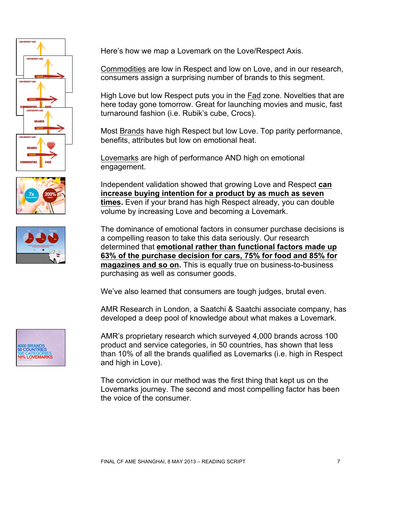





Here's how we map a Lovemark on the Love/Respect Axis.

Commodities are low in Respect and low on Love, and in our research, consumers assign a surprising number of brands to this segment.

High Love but low Respect puts you in the Fad zone. Novelties that are here today gone tomorrow. Great for launching movies and music, fast turnaround fashion (i.e. Rubik's cube, Crocs).

Most Brands have high Respect but low Love. Top parity performance, benefits, attributes but low on emotional heat.

Lovemarks are high of performance AND high on emotional engagement.

Independent validation showed that growing Love and Respect **can increase buying intention for a product by as much as seven times.** Even if your brand has high Respect already, you can double volume by increasing Love and becoming a Lovemark.

The dominance of emotional factors in consumer purchase decisions is a compelling reason to take this data seriously. Our research determined that **emotional rather than functional factors made up 63% of the purchase decision for cars, 75% for food and 85% for magazines and so on.** This is equally true on business-to-business purchasing as well as consumer goods.

We've also learned that consumers are tough judges, brutal even.

AMR Research in London, a Saatchi & Saatchi associate company, has developed a deep pool of knowledge about what makes a Lovemark.



AMR's proprietary research which surveyed 4,000 brands across 100 product and service categories, in 50 countries, has shown that less than 10% of all the brands qualified as Lovemarks (i.e. high in Respect and high in Love).

The conviction in our method was the first thing that kept us on the Lovemarks journey. The second and most compelling factor has been the voice of the consumer.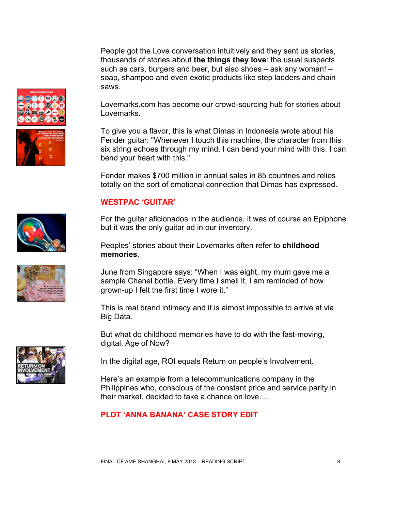People got the Love conversation intuitively and they sent us stories, thousands of stories about **the things they love**: the usual suspects such as cars, burgers and beer, but also shoes – ask any woman! – soap, shampoo and even exotic products like step ladders and chain saws.

Lovemarks.com has become our crowd-sourcing hub for stories about Lovemarks.

To give you a flavor, this is what Dimas in Indonesia wrote about his Fender guitar: "Whenever I touch this machine, the character from this six string echoes through my mind. I can bend your mind with this. I can bend your heart with this."

Fender makes \$700 million in annual sales in 85 countries and relies totally on the sort of emotional connection that Dimas has expressed.

#### **WESTPAC 'GUITAR'**

For the guitar aficionados in the audience, it was of course an Epiphone but it was the only guitar ad in our inventory.

Peoples' stories about their Lovemarks often refer to **childhood memories**.

June from Singapore says: "When I was eight, my mum gave me a sample Chanel bottle. Every time I smell it, I am reminded of how grown-up I felt the first time I wore it."

This is real brand intimacy and it is almost impossible to arrive at via Big Data.

But what do childhood memories have to do with the fast-moving, digital, Age of Now?

In the digital age, ROI equals Return on people's Involvement.

Here's an example from a telecommunications company in the Philippines who, conscious of the constant price and service parity in their market, decided to take a chance on love….

# **PLDT 'ANNA BANANA' CASE STORY EDIT**





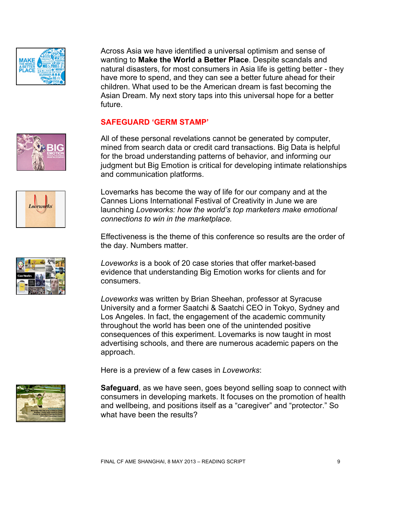

Across Asia we have identified a universal optimism and sense of wanting to **Make the World a Better Place**. Despite scandals and natural disasters, for most consumers in Asia life is getting better - they have more to spend, and they can see a better future ahead for their children. What used to be the American dream is fast becoming the Asian Dream. My next story taps into this universal hope for a better future.

#### **SAFEGUARD 'GERM STAMP'**

All of these personal revelations cannot be generated by computer, mined from search data or credit card transactions. Big Data is helpful for the broad understanding patterns of behavior, and informing our judgment but Big Emotion is critical for developing intimate relationships and communication platforms.

Loreworks







Lovemarks has become the way of life for our company and at the Cannes Lions International Festival of Creativity in June we are launching *Loveworks: how the world's top marketers make emotional connections to win in the marketplace.* 

Effectiveness is the theme of this conference so results are the order of the day. Numbers matter.

*Loveworks* is a book of 20 case stories that offer market-based evidence that understanding Big Emotion works for clients and for consumers.

*Loveworks* was written by Brian Sheehan, professor at Syracuse University and a former Saatchi & Saatchi CEO in Tokyo, Sydney and Los Angeles. In fact, the engagement of the academic community throughout the world has been one of the unintended positive consequences of this experiment. Lovemarks is now taught in most advertising schools, and there are numerous academic papers on the approach.

Here is a preview of a few cases in *Loveworks*:

**Safeguard**, as we have seen, goes beyond selling soap to connect with consumers in developing markets. It focuses on the promotion of health and wellbeing, and positions itself as a "caregiver" and "protector." So what have been the results?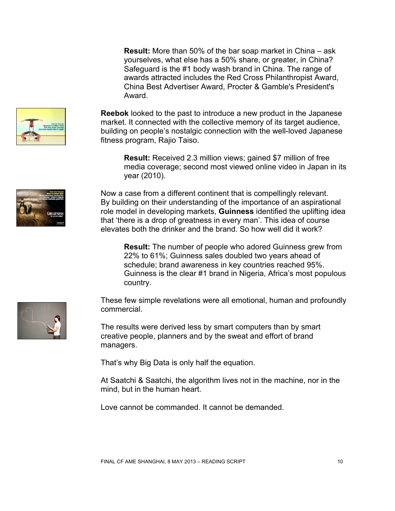**Result:** More than 50% of the bar soap market in China – ask yourselves, what else has a 50% share, or greater, in China? Safeguard is the #1 body wash brand in China. The range of awards attracted includes the Red Cross Philanthropist Award, China Best Advertiser Award, Procter & Gamble's President's Award.

**Reebok** looked to the past to introduce a new product in the Japanese market. It connected with the collective memory of its target audience, building on people's nostalgic connection with the well-loved Japanese fitness program, Rajio Taiso.

**Result:** Received 2.3 million views; gained \$7 million of free media coverage; second most viewed online video in Japan in its year (2010).

Now a case from a different continent that is compellingly relevant. By building on their understanding of the importance of an aspirational role model in developing markets, **Guinness** identified the uplifting idea that 'there is a drop of greatness in every man'. This idea of course elevates both the drinker and the brand. So how well did it work?

**Result:** The number of people who adored Guinness grew from 22% to 61%; Guinness sales doubled two years ahead of schedule; brand awareness in key countries reached 95%. Guinness is the clear #1 brand in Nigeria, Africa's most populous country.

These few simple revelations were all emotional, human and profoundly commercial.

The results were derived less by smart computers than by smart creative people, planners and by the sweat and effort of brand managers.

That's why Big Data is only half the equation.

At Saatchi & Saatchi, the algorithm lives not in the machine, nor in the mind, but in the human heart.

Love cannot be commanded. It cannot be demanded.